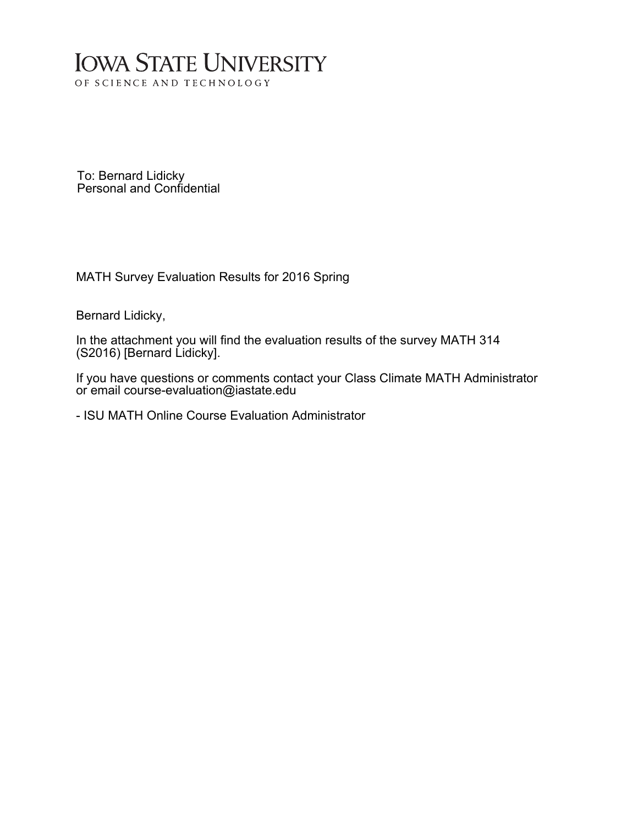## **IOWA STATE UNIVERSITY** OF SCIENCE AND TECHNOLOGY

To: Bernard Lidicky Personal and Confidential

MATH Survey Evaluation Results for 2016 Spring

Bernard Lidicky,

In the attachment you will find the evaluation results of the survey MATH 314 (S2016) [Bernard Lidicky].

If you have questions or comments contact your Class Climate MATH Administrator or email course-evaluation@iastate.edu

- ISU MATH Online Course Evaluation Administrator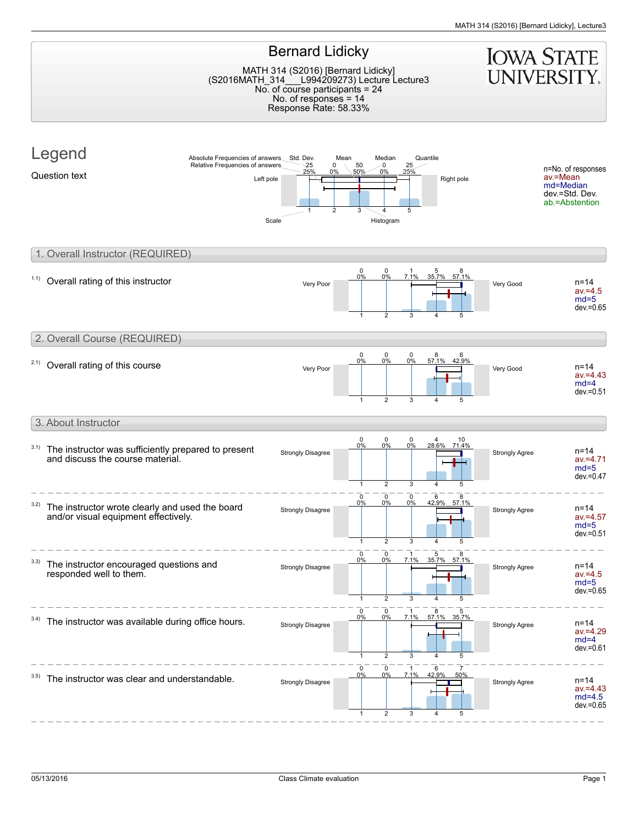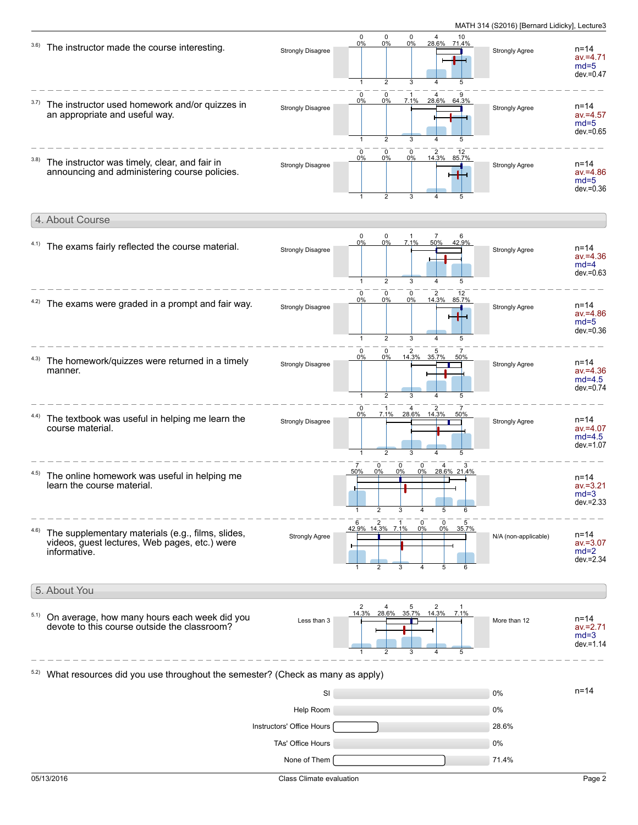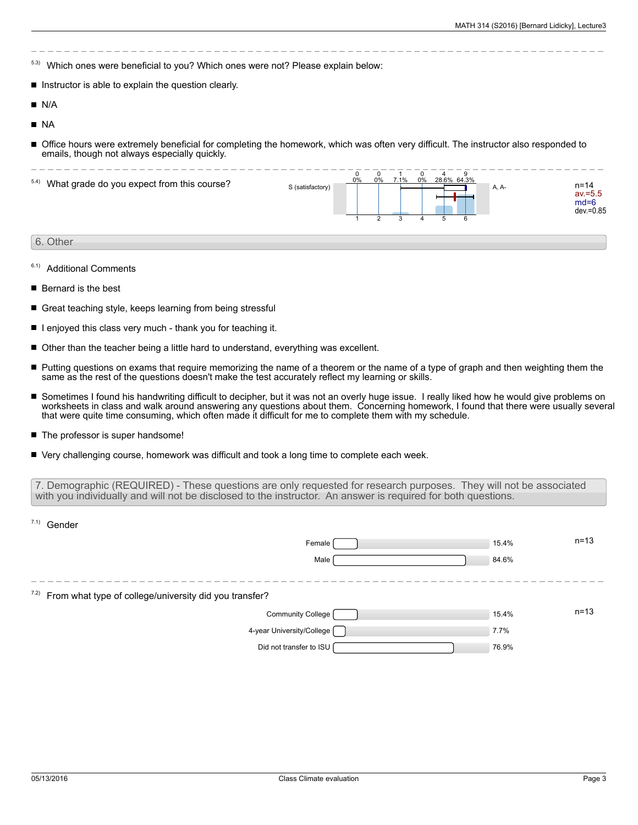- 5.3) Which ones were beneficial to you? Which ones were not? Please explain below:
- Instructor is able to explain the question clearly.
- **N/A**
- NA
- Office hours were extremely beneficial for completing the homework, which was often very difficult. The instructor also responded to emails, though not always especially quickly.

| 5.4) What grade do you expect from this course? | S (satisfactory) | 0<br>0% | 0% | 7.1% | 0<br>0% | 28.6% 64.3% | -9<br>6 | A, A- | n=14<br>av.=5.5<br>$md=6$<br>dev.=0.85 |
|-------------------------------------------------|------------------|---------|----|------|---------|-------------|---------|-------|----------------------------------------|
| 6. Other                                        |                  |         |    |      |         |             |         |       |                                        |

- 6.1) Additional Comments
- Bernard is the best
- Great teaching style, keeps learning from being stressful
- $\blacksquare$  I enjoyed this class very much thank you for teaching it.
- Other than the teacher being a little hard to understand, everything was excellent.
- Putting questions on exams that require memorizing the name of a theorem or the name of a type of graph and then weighting them the П same as the rest of the questions doesn't make the test accurately reflect my learning or skills.
- Sometimes I found his handwriting difficult to decipher, but it was not an overly huge issue. I really liked how he would give problems on worksheets in class and walk around answering any questions about them. Concerning homework, I found that there were usually several that were quite time consuming, which often made it difficult for me to complete them with my schedule.
- The professor is super handsome!
- Very challenging course, homework was difficult and took a long time to complete each week.

7. Demographic (REQUIRED) - These questions are only requested for research purposes. They will not be associated with you individually and will not be disclosed to the instructor. An answer is required for both questions.

| 7.1)<br>Gender                                                 |       |          |
|----------------------------------------------------------------|-------|----------|
| Female                                                         | 15.4% | $n = 13$ |
| Male                                                           | 84.6% |          |
|                                                                |       |          |
| $7.2$ ) From what type of college/university did you transfer? |       |          |
| Community College [                                            | 15.4% | $n = 13$ |
| 4-year University/College [                                    | 7.7%  |          |
| Did not transfer to ISU                                        | 76.9% |          |
|                                                                |       |          |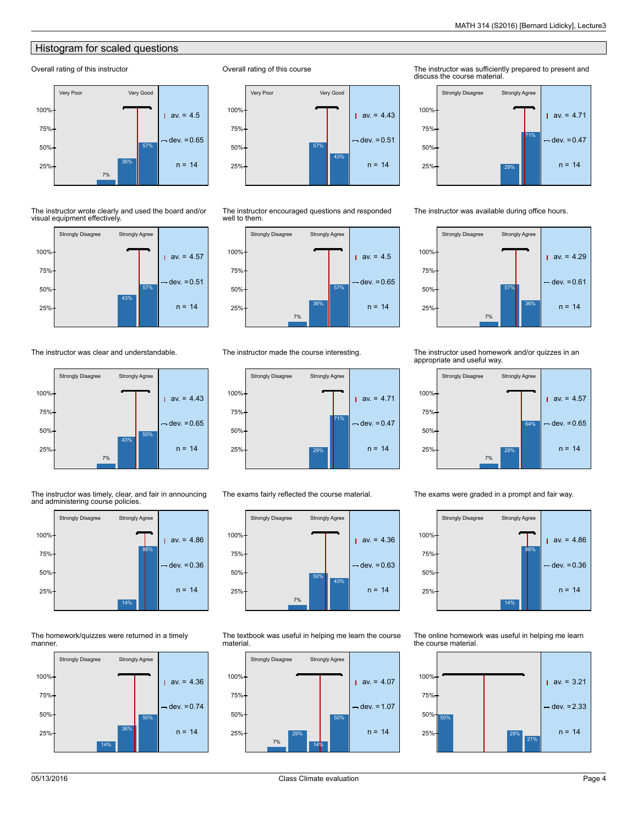## Histogram for scaled questions

## Overall rating of this instructor



The instructor wrote clearly and used the board and/or visual equipment effectively.



The instructor was clear and understandable.



The instructor was timely, clear, and fair in announcing and administering course policies.



The homework/quizzes were returned in a timely manner.







The instructor encouraged questions and responded well to them.



The instructor made the course interesting.



The exams fairly reflected the course material.



The textbook was useful in helping me learn the course material.



The instructor was sufficiently prepared to present and discuss the course material.



The instructor was available during office hours.



## The instructor used homework and/or quizzes in an appropriate and useful way.



The exams were graded in a prompt and fair way.

14% 86% Strongly Disagree Strongly Agree  $av = 4.86$  $dev = 0.36$  $25\%$  n = 14 50% 75% 100%

The online homework was useful in helping me learn the course material.

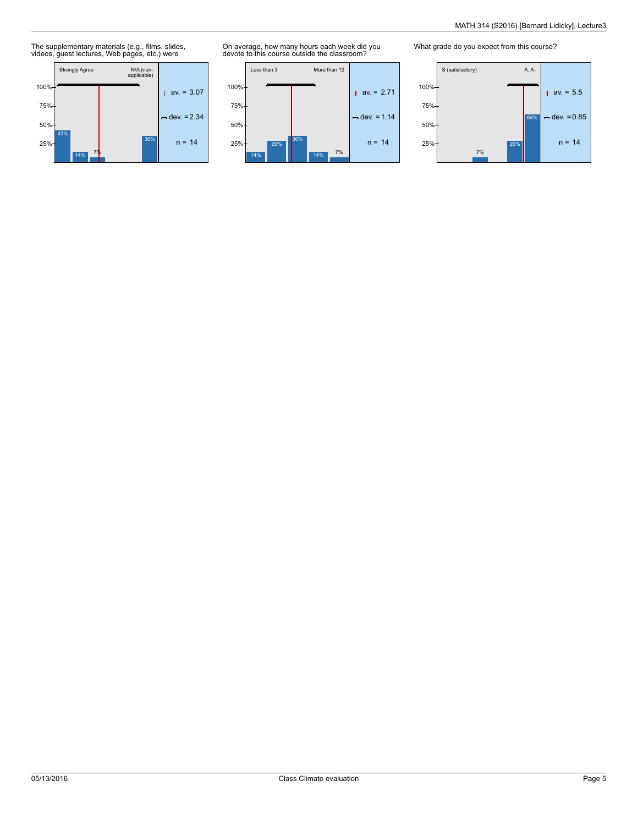The supplementary materials (e.g., films, slides, videos, guest lectures, Web pages, etc.) were



On average, how many hours each week did you devote to this course outside the classroom?



What grade do you expect from this course?

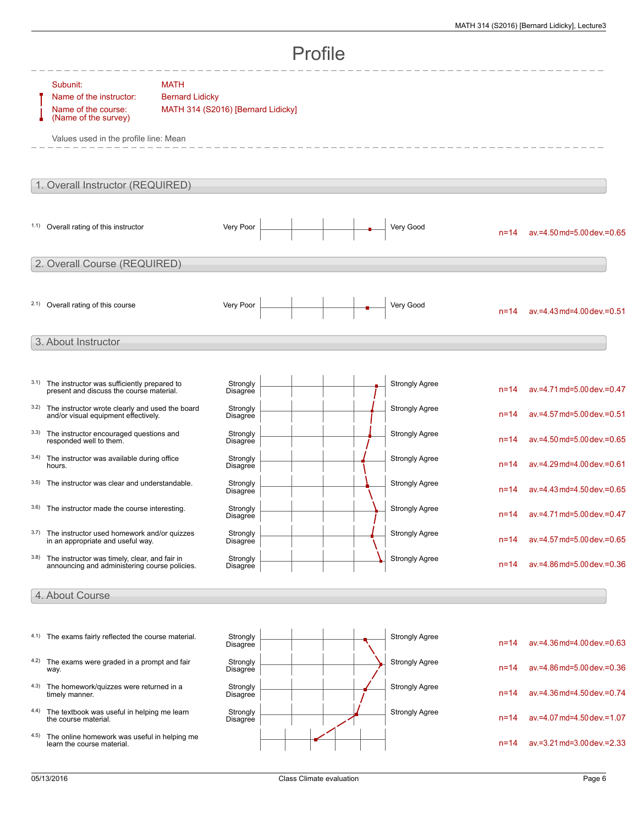|       |                                                                                                                             |                                                                             |                      | Profile |                       |          |                                 |
|-------|-----------------------------------------------------------------------------------------------------------------------------|-----------------------------------------------------------------------------|----------------------|---------|-----------------------|----------|---------------------------------|
|       | Subunit:<br>Name of the instructor:<br>Name of the course:<br>(Name of the survey)<br>Values used in the profile line: Mean | <b>MATH</b><br><b>Bernard Lidicky</b><br>MATH 314 (S2016) [Bernard Lidicky] |                      |         |                       |          |                                 |
|       | 1. Overall Instructor (REQUIRED)                                                                                            |                                                                             |                      |         |                       |          |                                 |
| (1.1) | Overall rating of this instructor                                                                                           |                                                                             | Very Poor            |         | Very Good             | $n = 14$ | ay.=4.50 md=5.00 dev.=0.65      |
|       | 2. Overall Course (REQUIRED)                                                                                                |                                                                             |                      |         |                       |          |                                 |
|       | 2.1) Overall rating of this course                                                                                          |                                                                             | Very Poor            |         | Very Good             | $n = 14$ | $av = 4.43$ md=4.00 dev. = 0.51 |
|       | 3. About Instructor                                                                                                         |                                                                             |                      |         |                       |          |                                 |
| 3.1)  | The instructor was sufficiently prepared to<br>present and discuss the course material.                                     |                                                                             | Strongly<br>Disagree |         | <b>Strongly Agree</b> | $n = 14$ | av.=4.71 md=5.00 dev.=0.47      |
| 3.2)  | The instructor wrote clearly and used the board<br>and/or visual equipment effectively.                                     |                                                                             | Strongly<br>Disagree |         | <b>Strongly Agree</b> | $n = 14$ | av.=4.57 md=5.00 dev.=0.51      |
| 3.3)  | The instructor encouraged questions and<br>responded well to them.                                                          |                                                                             | Strongly<br>Disagree |         | <b>Strongly Agree</b> | $n = 14$ | av.=4.50 md=5.00 dev.=0.65      |
| 3.4)  | The instructor was available during office<br>hours.                                                                        |                                                                             | Strongly<br>Disagree |         | <b>Strongly Agree</b> | $n = 14$ | av.=4.29 md=4.00 dev.=0.61      |
| 3.5)  | The instructor was clear and understandable.                                                                                |                                                                             | Strongly<br>Disagree |         | <b>Strongly Agree</b> | $n = 14$ | av.=4.43 md=4.50 dev.=0.65      |
| 3.6)  | The instructor made the course interesting.                                                                                 |                                                                             | Strongly<br>Disagree |         | <b>Strongly Agree</b> |          | n=14 av.=4.71 md=5.00 dev.=0.47 |
| 3.7)  | The instructor used homework and/or quizzes<br>in an appropriate and useful way.                                            |                                                                             | Strongly<br>Disagree |         | <b>Strongly Agree</b> | $n = 14$ | av.=4.57 md=5.00 dev.=0.65      |
| 3.8)  | The instructor was timely, clear, and fair in<br>announcing and administering course policies.                              |                                                                             | Strongly<br>Disagree |         | <b>Strongly Agree</b> | $n = 14$ | av.=4.86 md=5.00 dev.=0.36      |
|       | 4. About Course                                                                                                             |                                                                             |                      |         |                       |          |                                 |
|       |                                                                                                                             |                                                                             |                      |         |                       |          |                                 |
|       | 4.1) The exams fairly reflected the course material.                                                                        |                                                                             | Strongly<br>Disagree |         | <b>Strongly Agree</b> | $n = 14$ | av.=4.36 md=4.00 dev.=0.63      |
| 4.2)  | The exams were graded in a prompt and fair<br>way.                                                                          |                                                                             | Strongly<br>Disagree |         | <b>Strongly Agree</b> | $n = 14$ | av.=4.86 md=5.00 dev.=0.36      |
| 4.3)  | The homework/quizzes were returned in a<br>timely manner.                                                                   |                                                                             | Strongly<br>Disagree |         | <b>Strongly Agree</b> | $n = 14$ | av.=4.36 md=4.50 dev.=0.74      |
| 4.4)  | The textbook was useful in helping me learn<br>the course material.                                                         |                                                                             | Strongly<br>Disagree |         | <b>Strongly Agree</b> | $n = 14$ | av.=4.07 md=4.50 dev.=1.07      |
| 4.5)  | The online homework was useful in helping me<br>learn the course material.                                                  |                                                                             |                      |         |                       | $n = 14$ | av.=3.21 md=3.00 dev.=2.33      |